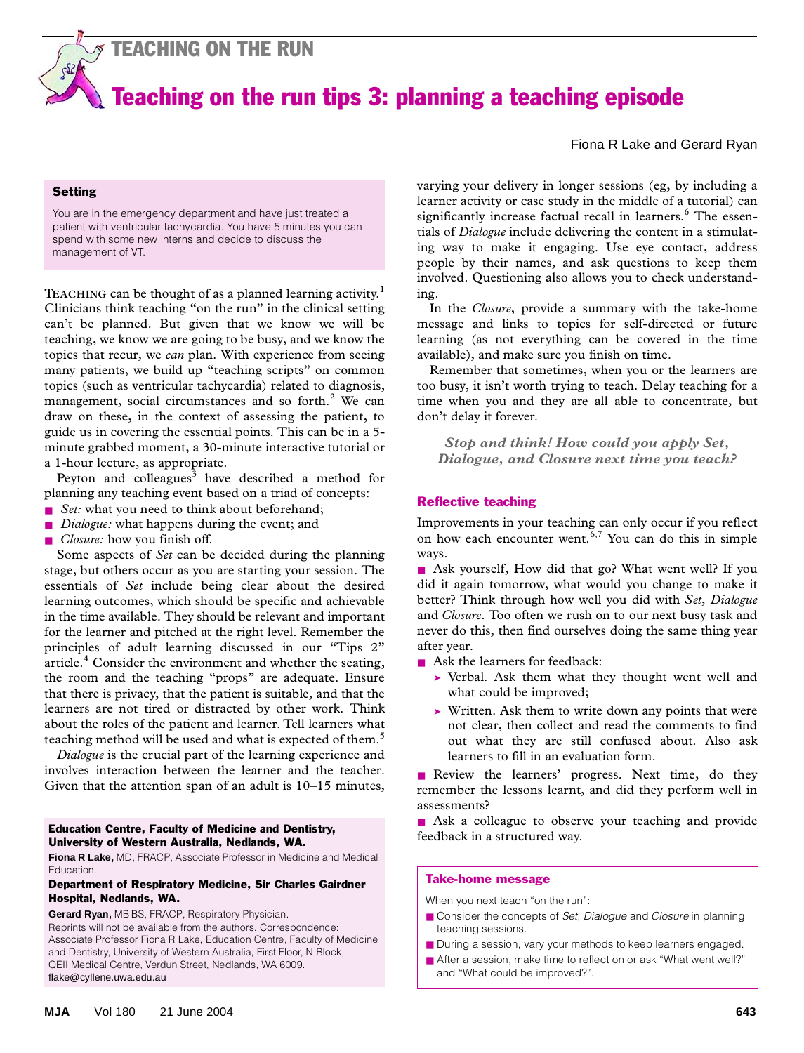<span id="page-0-0"></span>

TEACHING ON THE RUN

# Teaching on the run tips 3: planning a teaching episode

Fiona R Lake and Gerard Ryan

## **Setting**

You are in the emergency department and have just treated a patient with ventricular tachycardia. You have 5 minutes you can spend with some new interns and decide to discuss the management of VT.

teaching, we know we are going to be busy, and we know the topics that recu[r, we](#page-0-0) *can* plan. With experience from seeing many patients, we build up "teaching scripts" on common topics (such as ventricular tachycardia) related to diagnosis, **TEACHING** can be thought of as a planned learning activity.<sup>[1](#page-1-0)</sup> Clinicians think teaching "on the run" in the clinical setting can't be planned. But given that we know we will be management, social circumstances and so forth. $2$  We can draw on these, in the context of assessing the patient, to guide us in covering the essential points. This can be in a 5 minute grabbed moment, a 30-minute interactive tutorial or a 1-hour lecture, as appropriate.

Peyton and colleagues<sup>[3](#page-1-2)</sup> have described a method for planning any teaching event based on a triad of concepts:

- *Set:* what you need to think about beforehand;
- *Dialogue:* what happens during the event; and
- *Closure:* how you finish off.

Some aspects of *Set* can be decided during the planning stage, but others occur as you are starting your session. The essentials of *Set* include being clear about the desired learning outcomes, which should be specific and achievable in the time available. They should be relevant and important for the learner and pitched at the right level. Remember the principles of adult learning discussed in our "Tips 2" article.<sup>4</sup> Consider the environment and whether the seating, the room and the teaching "props" are adequate. Ensure that there is privacy, that the patient is suitable, and that the learners are not tired or distracted by other work. Think about the roles of the patient and learner. Tell learners what teaching method will be used and what is expected of them.<sup>[5](#page-1-4)</sup>

*Dialogue* is the crucial part of the learning experience and involves interaction between the learner and the teacher. Given that the attention span of an adult is 10–15 minutes,

#### Education Centre, Faculty of Medicine and Dentistry, University of Western Australia, Nedlands, WA.

**Fiona R Lake,** MD, FRACP, Associate Professor in Medicine and Medical **Education** 

#### Department of Respiratory Medicine, Sir Charles Gairdner Hospital, Nedlands, WA.

**Gerard Ryan,** MB BS, FRACP, Respiratory Physician.

Reprints will not be available from the authors. Correspondence: Associate Professor Fiona R Lake, Education Centre, Faculty of Medicine and Dentistry, University of Western Australia, First Floor, N Block, QEII Medical Centre, Verdun Street, Nedlands, WA 6009. flake@cyllene.uwa.edu.au

varying your delivery in longer sessions (eg, by including a learner activity or case study in the middle of a tutorial) can significantly increase factual recall in learners.<sup>[6](#page-1-5)</sup> The essentials of *Dialogue* include delivering the content in a stimulating way to make it engaging. Use eye contact, address people by their names, and ask questions to keep them involved. Questioning also allows you to check understanding.

In the *Closure*, provide a summary with the take-home message and links to topics for self-directed or future learning (as not everything can be covered in the time available), and make sure you finish on time.

Remember that sometimes, when you or the learners are too busy, it isn't worth trying to teach. Delay teaching for a time when you and they are all able to concentrate, but don't delay it forever.

*Stop and think! How could you apply Set, Dialogue, and Closure next time you teach?*

### Reflective teaching

Improvements in your teaching can only occur if you reflect on how each encounter went. $6,7$  $6,7$  You can do this in simple ways.

■ Ask yourself, How did that go? What went well? If you did it again tomorrow, what would you change to make it better? Think through how well you did with *Set*, *Dialogue* and *Closure*. Too often we rush on to our next busy task and never do this, then find ourselves doing the same thing year after year.

■ Ask the learners for feedback:

- ➤ Verbal. Ask them what they thought went well and what could be improved;
- ➤ Written. Ask them to write down any points that were not clear, then collect and read the comments to find out what they are still confused about. Also ask learners to fill in an evaluation form.

■ Review the learners' progress. Next time, do they remember the lessons learnt, and did they perform well in assessments?

■ Ask a colleague to observe your teaching and provide feedback in a structured way.

#### Take-home message

When you next teach "on the run":

- Consider the concepts of *Set*, *Dialogue* and *Closure* in planning teaching sessions.
- During a session, vary your methods to keep learners engaged.
- After a session, make time to reflect on or ask "What went well?" and "What could be improved?".